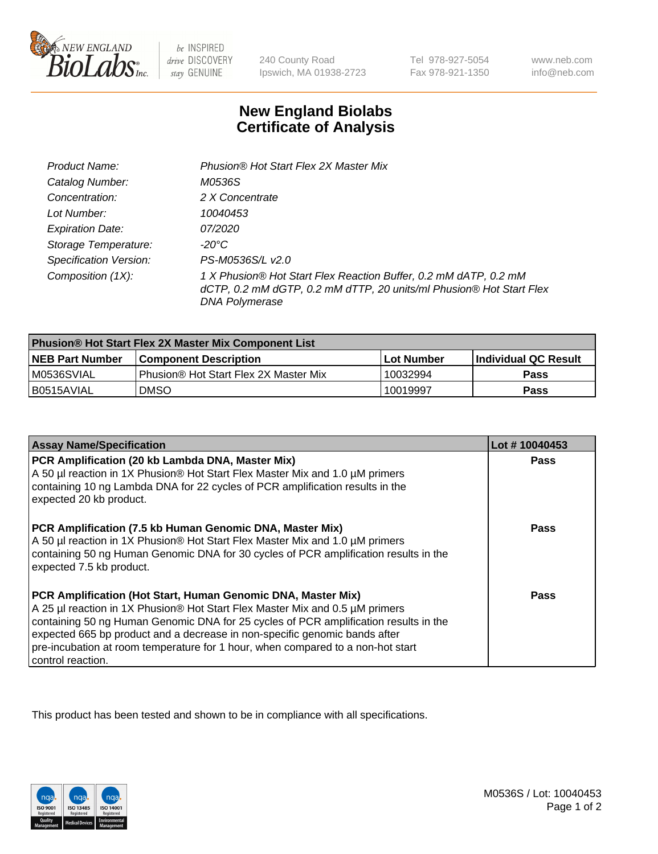

be INSPIRED drive DISCOVERY stay GENUINE

240 County Road Ipswich, MA 01938-2723

Tel 978-927-5054 Fax 978-921-1350

www.neb.com info@neb.com

## **New England Biolabs Certificate of Analysis**

| Product Name:                 | Phusion® Hot Start Flex 2X Master Mix                                                                                                                     |
|-------------------------------|-----------------------------------------------------------------------------------------------------------------------------------------------------------|
| Catalog Number:               | M0536S                                                                                                                                                    |
| Concentration:                | 2 X Concentrate                                                                                                                                           |
| Lot Number:                   | 10040453                                                                                                                                                  |
| <b>Expiration Date:</b>       | <i>07/2020</i>                                                                                                                                            |
| Storage Temperature:          | -20°C                                                                                                                                                     |
| <b>Specification Version:</b> | PS-M0536S/L v2.0                                                                                                                                          |
| Composition (1X):             | 1 X Phusion® Hot Start Flex Reaction Buffer, 0.2 mM dATP, 0.2 mM<br>dCTP, 0.2 mM dGTP, 0.2 mM dTTP, 20 units/ml Phusion® Hot Start Flex<br>DNA Polymerase |

| <b>Phusion® Hot Start Flex 2X Master Mix Component List</b> |                                       |            |                      |  |
|-------------------------------------------------------------|---------------------------------------|------------|----------------------|--|
| <b>NEB Part Number</b>                                      | <b>Component Description</b>          | Lot Number | Individual QC Result |  |
| M0536SVIAL                                                  | Phusion® Hot Start Flex 2X Master Mix | 10032994   | <b>Pass</b>          |  |
| I B0515AVIAL                                                | <b>DMSO</b>                           | 10019997   | <b>Pass</b>          |  |

| <b>Assay Name/Specification</b>                                                                                                                                                                                                                                                                                                                                                                                            | Lot #10040453 |
|----------------------------------------------------------------------------------------------------------------------------------------------------------------------------------------------------------------------------------------------------------------------------------------------------------------------------------------------------------------------------------------------------------------------------|---------------|
| PCR Amplification (20 kb Lambda DNA, Master Mix)<br>A 50 µl reaction in 1X Phusion® Hot Start Flex Master Mix and 1.0 µM primers<br>containing 10 ng Lambda DNA for 22 cycles of PCR amplification results in the<br>expected 20 kb product.                                                                                                                                                                               | <b>Pass</b>   |
| PCR Amplification (7.5 kb Human Genomic DNA, Master Mix)<br>A 50 µl reaction in 1X Phusion® Hot Start Flex Master Mix and 1.0 µM primers<br>containing 50 ng Human Genomic DNA for 30 cycles of PCR amplification results in the<br>expected 7.5 kb product.                                                                                                                                                               | Pass          |
| PCR Amplification (Hot Start, Human Genomic DNA, Master Mix)<br>A 25 µl reaction in 1X Phusion® Hot Start Flex Master Mix and 0.5 µM primers<br>containing 50 ng Human Genomic DNA for 25 cycles of PCR amplification results in the<br>expected 665 bp product and a decrease in non-specific genomic bands after<br>pre-incubation at room temperature for 1 hour, when compared to a non-hot start<br>control reaction. | Pass          |

This product has been tested and shown to be in compliance with all specifications.